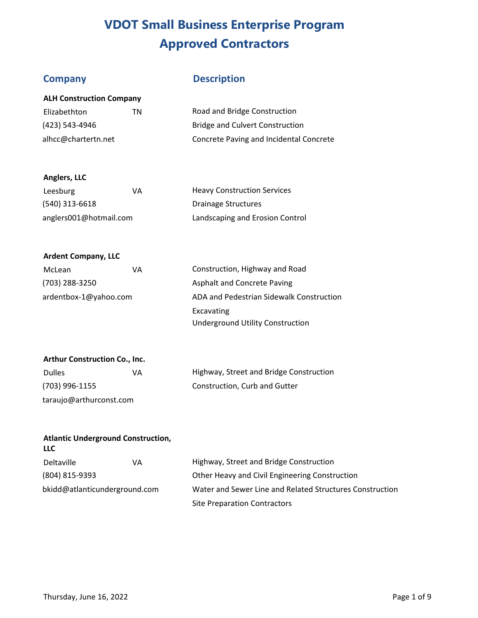**ALH Construction Company** 

# **Company Description**

| Elizabethton        | ΤN | Road and Bridge Construction            |
|---------------------|----|-----------------------------------------|
| (423) 543-4946      |    | Bridge and Culvert Construction         |
| alhcc@chartertn.net |    | Concrete Paving and Incidental Concrete |

### **Anglers, LLC**

| Leesburg               | VA | <b>Heavy Construction Services</b> |
|------------------------|----|------------------------------------|
| (540) 313-6618         |    | Drainage Structures                |
| anglers001@hotmail.com |    | Landscaping and Erosion Control    |

### **Ardent Company, LLC**

| McLean                | VA | Construction, Highway and Road           |
|-----------------------|----|------------------------------------------|
| (703) 288-3250        |    | Asphalt and Concrete Paving              |
| ardentbox-1@yahoo.com |    | ADA and Pedestrian Sidewalk Construction |
|                       |    | Excavating                               |
|                       |    | <b>Underground Utility Construction</b>  |

### **Arthur Construction Co., Inc.**

| <b>Dulles</b>           | VA |
|-------------------------|----|
| (703) 996-1155          |    |
| taraujo@arthurconst.com |    |

Highway, Street and Bridge Construction Construction, Curb and Gutter

### **Atlantic Underground Construction, LLC**

| <b>Deltaville</b>             | VA | Highway, Street and Bridge Construction                  |
|-------------------------------|----|----------------------------------------------------------|
| (804) 815-9393                |    | Other Heavy and Civil Engineering Construction           |
| bkidd@atlanticunderground.com |    | Water and Sewer Line and Related Structures Construction |
|                               |    | <b>Site Preparation Contractors</b>                      |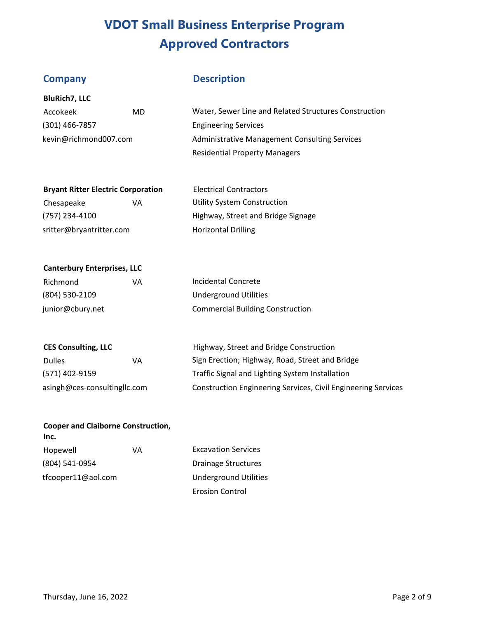**BluRich7, LLC** 

**Canterbury Enterprises, LLC** 

# **Company Description**

| Accokeek              | MD | Water, Sewer Line and Related Structures Construction |
|-----------------------|----|-------------------------------------------------------|
| $(301)$ 466-7857      |    | <b>Engineering Services</b>                           |
| kevin@richmond007.com |    | Administrative Management Consulting Services         |
|                       |    | <b>Residential Property Managers</b>                  |

| <b>Bryant Ritter Electric Corporation</b> |    | <b>Electrical Contractors</b>      |
|-------------------------------------------|----|------------------------------------|
| Chesapeake                                | VА | <b>Utility System Construction</b> |
| (757) 234-4100                            |    | Highway, Street and Bridge Signage |
| sritter@bryantritter.com                  |    | <b>Horizontal Drilling</b>         |

| Richmond         | VА | Incidental Concrete                     |
|------------------|----|-----------------------------------------|
| (804) 530-2109   |    | Underground Utilities                   |
| junior@cbury.net |    | <b>Commercial Building Construction</b> |

| <b>CES Consulting, LLC</b>   |    | Highway, Street and Bridge Construction                              |
|------------------------------|----|----------------------------------------------------------------------|
| <b>Dulles</b>                | VA | Sign Erection; Highway, Road, Street and Bridge                      |
| (571) 402-9159               |    | Traffic Signal and Lighting System Installation                      |
| asingh@ces-consultingllc.com |    | <b>Construction Engineering Services, Civil Engineering Services</b> |

| <b>Cooper and Claiborne Construction,</b><br>Inc. |    |                              |
|---------------------------------------------------|----|------------------------------|
| Hopewell                                          | VA | <b>Excavation Services</b>   |
| (804) 541-0954                                    |    | <b>Drainage Structures</b>   |
| tfcooper11@aol.com                                |    | <b>Underground Utilities</b> |

Erosion Control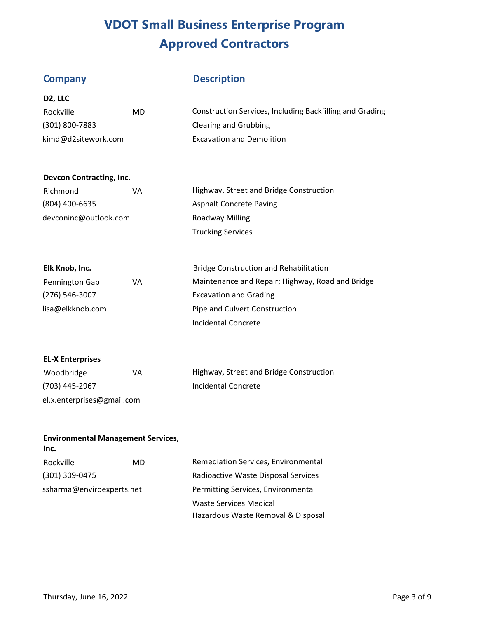**D2, LLC** 

# **Company Description**

| Rockville           | MD | Construction Services, Including Backfilling and Grading |
|---------------------|----|----------------------------------------------------------|
| $(301) 800 - 7883$  |    | Clearing and Grubbing                                    |
| kimd@d2sitework.com |    | <b>Excavation and Demolition</b>                         |

### **Devcon Contracting, Inc.**

| Richmond              | VА | Highway, Street and Bridge Construction |
|-----------------------|----|-----------------------------------------|
| (804) 400-6635        |    | <b>Asphalt Concrete Paving</b>          |
| devconinc@outlook.com |    | Roadway Milling                         |
|                       |    | <b>Trucking Services</b>                |

| Elk Knob, Inc.     |    | <b>Bridge Construction and Rehabilitation</b>    |
|--------------------|----|--------------------------------------------------|
| Pennington Gap     | VA | Maintenance and Repair; Highway, Road and Bridge |
| $(276) 546 - 3007$ |    | <b>Excavation and Grading</b>                    |
| lisa@elkknob.com   |    | Pipe and Culvert Construction                    |
|                    |    | Incidental Concrete                              |

### **EL-X Enterprises**

| Woodbridge                 | VA | Highway, Street and Bridge Construction |
|----------------------------|----|-----------------------------------------|
| (703) 445-2967             |    | Incidental Concrete                     |
| el.x.enterprises@gmail.com |    |                                         |

## **Environmental Management Services,**

| Inc.                      |  |                                     |
|---------------------------|--|-------------------------------------|
| Rockville<br>MD           |  | Remediation Services, Environmental |
| (301) 309-0475            |  | Radioactive Waste Disposal Services |
| ssharma@enviroexperts.net |  | Permitting Services, Environmental  |
|                           |  | Waste Services Medical              |
|                           |  | Hazardous Waste Removal & Disposal  |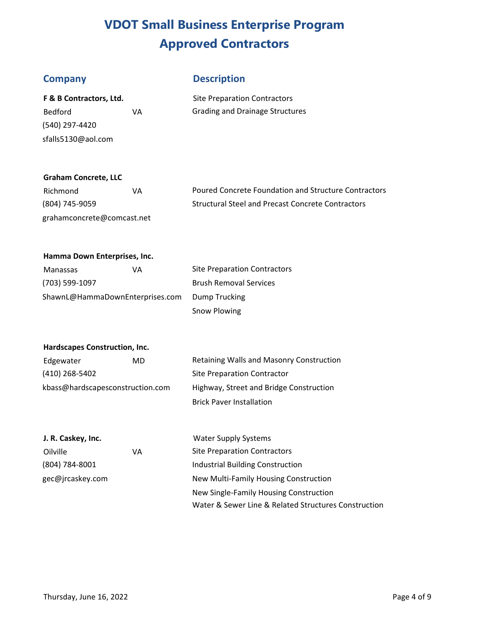## **Company Description**

| F & B Contractors, Ltd. |    |
|-------------------------|----|
| Bedford                 | VА |
| (540) 297-4420          |    |
| sfalls5130@aol.com      |    |

**Site Preparation Contractors** Grading and Drainage Structures

### **Graham Concrete, LLC**

| Richmond                   | ۷A | Poure  |
|----------------------------|----|--------|
| (804) 745-9059             |    | Struct |
| grahamconcrete@comcast.net |    |        |

ed Concrete Foundation and Structure Contractors tural Steel and Precast Concrete Contractors

### **Hamma Down Enterprises, Inc.**

| Manassas                        | ۷A | <b>Site Preparation Contractors</b> |
|---------------------------------|----|-------------------------------------|
| (703) 599-1097                  |    | <b>Brush Removal Services</b>       |
| ShawnL@HammaDownEnterprises.com |    | Dump Trucking                       |
|                                 |    | Snow Plowing                        |

### **Hardscapes Construction, Inc.**

| Edgewater                        | MD | Retaining Walls and Masonry Construction |  |
|----------------------------------|----|------------------------------------------|--|
| (410) 268-5402                   |    | Site Preparation Contractor              |  |
| kbass@hardscapesconstruction.com |    | Highway, Street and Bridge Construction  |  |
|                                  |    | <b>Brick Paver Installation</b>          |  |

| J. R. Caskey, Inc. |    | <b>Water Supply Systems</b>                          |
|--------------------|----|------------------------------------------------------|
| Oilville           | VA | <b>Site Preparation Contractors</b>                  |
| (804) 784-8001     |    | Industrial Building Construction                     |
| gec@jrcaskey.com   |    | New Multi-Family Housing Construction                |
|                    |    | New Single-Family Housing Construction               |
|                    |    | Water & Sewer Line & Related Structures Construction |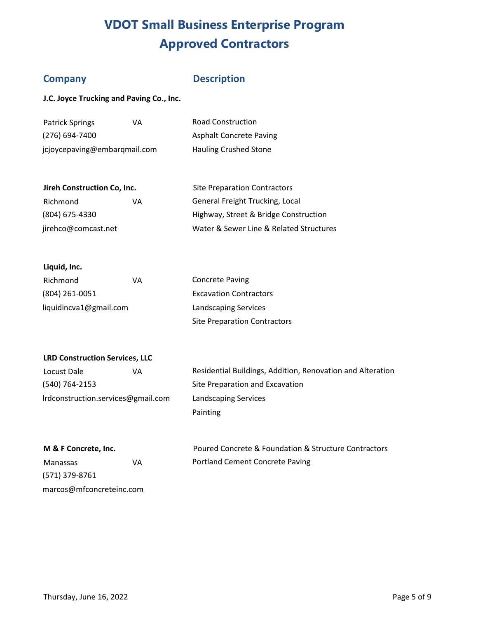## **Company**

## **Description**

Site Preparation Contractors

**J.C. Joyce Trucking and Paving Co., Inc.** 

| <b>Patrick Springs</b>       | ۷A | <b>Road Construction</b>       |
|------------------------------|----|--------------------------------|
| $(276)$ 694-7400             |    | <b>Asphalt Concrete Paving</b> |
| jcjoycepaving@embarqmail.com |    | <b>Hauling Crushed Stone</b>   |

| Richmond            | VA | General Freight Trucking, Local         |
|---------------------|----|-----------------------------------------|
| (804) 675-4330      |    | Highway, Street & Bridge Construction   |
| jirehco@comcast.net |    | Water & Sewer Line & Related Structures |

| Liquid, Inc. |  |
|--------------|--|
|--------------|--|

| Richmond               | ۷A | <b>Concrete Paving</b>              |
|------------------------|----|-------------------------------------|
| (804) 261-0051         |    | <b>Excavation Contractors</b>       |
| liquidincva1@gmail.com |    | <b>Landscaping Services</b>         |
|                        |    | <b>Site Preparation Contractors</b> |

### **LRD Construction Services, LLC**

| Locust Dale                        | VA |
|------------------------------------|----|
| (540) 764-2153                     |    |
| Irdconstruction.services@gmail.com |    |

Residential Buildings, Addition, Renovation and Alteration Site Preparation and Excavation Landscaping Services Painting

### **M & F Concrete, Inc.**

| Manassas                 | VA |
|--------------------------|----|
| (571) 379-8761           |    |
| marcos@mfconcreteinc.com |    |

Poured Concrete & Foundation & Structure Contractors Portland Cement Concrete Paving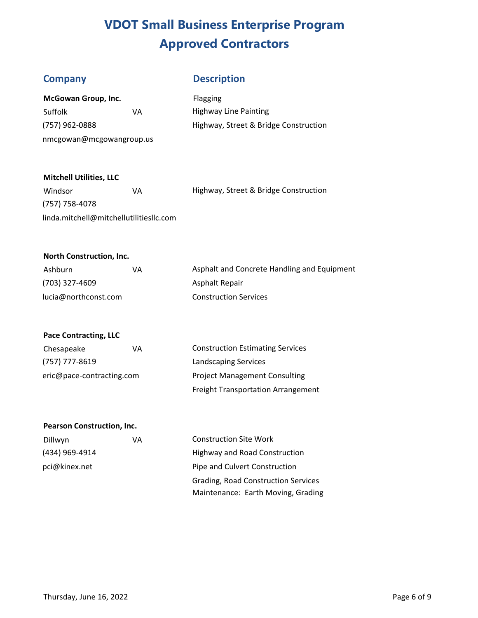## **Company Description**

| McGowan Group, Inc.      |    |  |
|--------------------------|----|--|
| Suffolk                  | VA |  |
| (757) 962-0888           |    |  |
| nmcgowan@mcgowangroup.us |    |  |

Flagging Highway Line Painting Highway, Street & Bridge Construction

### **Mitchell Utilities, LLC**

| Windsor                                 | VА | Highway, Street & Bridge Construction |
|-----------------------------------------|----|---------------------------------------|
| (757) 758-4078                          |    |                                       |
| linda.mitchell@mitchellutilitiesllc.com |    |                                       |

### **North Construction, Inc.**

| Ashburn              | VA | Asphalt and Concrete Handling and Equipment |
|----------------------|----|---------------------------------------------|
| (703) 327-4609       |    | Asphalt Repair                              |
| lucia@northconst.com |    | <b>Construction Services</b>                |

### **Pace Contracting, LLC**

| Chesapeake                | ۷A | <b>Construction Estimating Services</b>   |
|---------------------------|----|-------------------------------------------|
| (757) 777-8619            |    | <b>Landscaping Services</b>               |
| eric@pace-contracting.com |    | <b>Project Management Consulting</b>      |
|                           |    | <b>Freight Transportation Arrangement</b> |

### **Pearson Construction, Inc.**

| Dillwyn        | VA |
|----------------|----|
| (434) 969-4914 |    |
| pci@kinex.net  |    |

Construction Site Work Highway and Road Construction Pipe and Culvert Construction Grading, Road Construction Services Maintenance: Earth Moving, Grading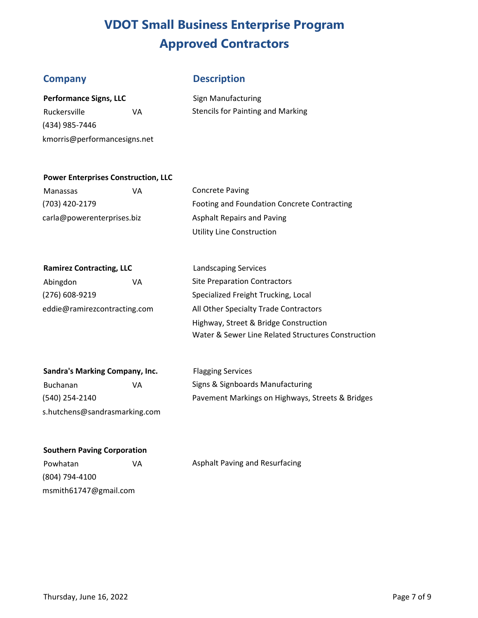## **Company Description**

| <b>Performance Signs, LLC</b> |  |
|-------------------------------|--|
|-------------------------------|--|

(434) 985-7446 kmorris@performancesigns.net

**Sign Manufacturing** Ruckersville **VA** Stencils for Painting and Marking

### **Power Enterprises Construction, LLC**

Manassas VA Concrete Paving carla@powerenterprises.biz Asphalt Repairs and Paving

(703) 420-2179 Footing and Foundation Concrete Contracting Utility Line Construction

### **Ramirez Contracting, LLC** Landscaping Services

Abingdon **VA** Site Preparation Contractors

(276) 608-9219 Specialized Freight Trucking, Local eddie@ramirezcontracting.com All Other Specialty Trade Contractors Highway, Street & Bridge Construction Water & Sewer Line Related Structures Construction

| Sandra's Marking Company, Inc. |    |  |
|--------------------------------|----|--|
| <b>Buchanan</b>                | VA |  |
| (540) 254-2140                 |    |  |
| s.hutchens@sandrasmarking.com  |    |  |

**Flagging Services** Signs & Signboards Manufacturing Pavement Markings on Highways, Streets & Bridges

### **Southern Paving Corporation**

(804) 794-4100 msmith61747@gmail.com

Powhatan VA VA Asphalt Paving and Resurfacing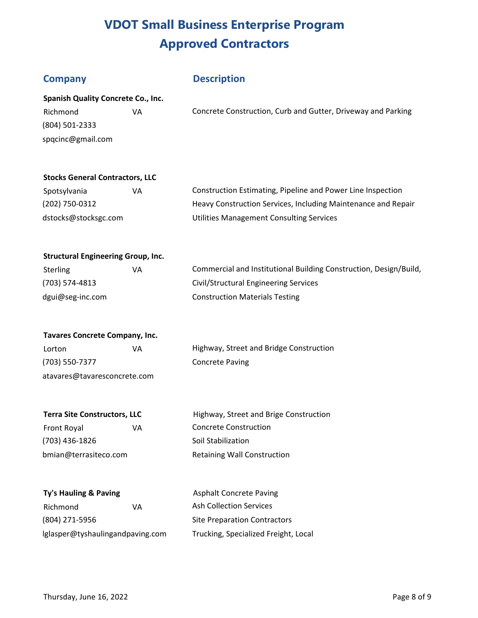## **Company Description**

| <b>Spanish Quality Concrete Co., Inc.</b> |    |                                                              |  |
|-------------------------------------------|----|--------------------------------------------------------------|--|
| Richmond                                  | VA | Concrete Construction, Curb and Gutter, Driveway and Parking |  |
| (804) 501-2333                            |    |                                                              |  |
| spqcinc@gmail.com                         |    |                                                              |  |

### **Stocks General Contractors, LLC**

| Spotsylvania         | VA | Construction Estimating, Pipeline and Power Line Inspection   |
|----------------------|----|---------------------------------------------------------------|
| (202) 750-0312       |    | Heavy Construction Services, Including Maintenance and Repair |
| dstocks@stocksgc.com |    | Utilities Management Consulting Services                      |

### **Structural Engineering Group, Inc.**

| <b>Sterling</b>  | VA | Commercial and Institutional Building Construction, Design/Build, |
|------------------|----|-------------------------------------------------------------------|
| (703) 574-4813   |    | Civil/Structural Engineering Services                             |
| dgui@seg-inc.com |    | <b>Construction Materials Testing</b>                             |

| <b>Tavares Concrete Company, Inc.</b> |    |  |  |  |
|---------------------------------------|----|--|--|--|
| Lorton                                | VА |  |  |  |
| (703) 550-7377                        |    |  |  |  |

atavares@tavaresconcrete.com

Highway, Street and Bridge Construction Concrete Paving

Front Royal **VA** Concrete Construction (703) 436-1826 Soil Stabilization bmian@terrasiteco.com Retaining Wall Construction

**Terra Site Constructors, LLC** Highway, Street and Brige Construction

# **Ty's Hauling & Paving** Richmond VA Ash Collection Services

(804) 271-5956 Site Preparation Contractors lglasper@tyshaulingandpaving.com Trucking, Specialized Freight, Local

**Asphalt Concrete Paving**